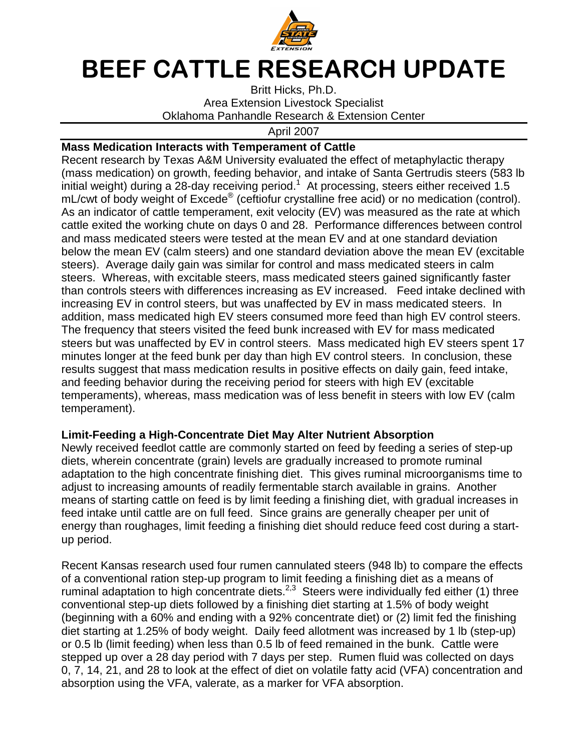

## BEEF CATTLE RESEARCH UPDATE

Britt Hicks, Ph.D. Area Extension Livestock Specialist Oklahoma Panhandle Research & Extension Center

April 2007

## **Mass Medication Interacts with Temperament of Cattle**

Recent research by Texas A&M University evaluated the effect of metaphylactic therapy (mass medication) on growth, feeding behavior, and intake of Santa Gertrudis steers (583 lb initial weight) during a 28-day receiving period.<sup>1</sup> At processing, steers either received 1.5 mL/cwt of body weight of Excede<sup>®</sup> (ceftiofur crystalline free acid) or no medication (control). As an indicator of cattle temperament, exit velocity (EV) was measured as the rate at which cattle exited the working chute on days 0 and 28. Performance differences between control and mass medicated steers were tested at the mean EV and at one standard deviation below the mean EV (calm steers) and one standard deviation above the mean EV (excitable steers). Average daily gain was similar for control and mass medicated steers in calm steers. Whereas, with excitable steers, mass medicated steers gained significantly faster than controls steers with differences increasing as EV increased. Feed intake declined with increasing EV in control steers, but was unaffected by EV in mass medicated steers. In addition, mass medicated high EV steers consumed more feed than high EV control steers. The frequency that steers visited the feed bunk increased with EV for mass medicated steers but was unaffected by EV in control steers. Mass medicated high EV steers spent 17 minutes longer at the feed bunk per day than high EV control steers. In conclusion, these results suggest that mass medication results in positive effects on daily gain, feed intake, and feeding behavior during the receiving period for steers with high EV (excitable temperaments), whereas, mass medication was of less benefit in steers with low EV (calm temperament).

## **Limit-Feeding a High-Concentrate Diet May Alter Nutrient Absorption**

Newly received feedlot cattle are commonly started on feed by feeding a series of step-up diets, wherein concentrate (grain) levels are gradually increased to promote ruminal adaptation to the high concentrate finishing diet. This gives ruminal microorganisms time to adjust to increasing amounts of readily fermentable starch available in grains. Another means of starting cattle on feed is by limit feeding a finishing diet, with gradual increases in feed intake until cattle are on full feed. Since grains are generally cheaper per unit of energy than roughages, limit feeding a finishing diet should reduce feed cost during a startup period.

Recent Kansas research used four rumen cannulated steers (948 lb) to compare the effects of a conventional ration step-up program to limit feeding a finishing diet as a means of ruminal adaptation to high concentrate diets.<sup>2,3</sup> Steers were individually fed either (1) three conventional step-up diets followed by a finishing diet starting at 1.5% of body weight (beginning with a 60% and ending with a 92% concentrate diet) or (2) limit fed the finishing diet starting at 1.25% of body weight. Daily feed allotment was increased by 1 lb (step-up) or 0.5 lb (limit feeding) when less than 0.5 lb of feed remained in the bunk. Cattle were stepped up over a 28 day period with 7 days per step. Rumen fluid was collected on days 0, 7, 14, 21, and 28 to look at the effect of diet on volatile fatty acid (VFA) concentration and absorption using the VFA, valerate, as a marker for VFA absorption.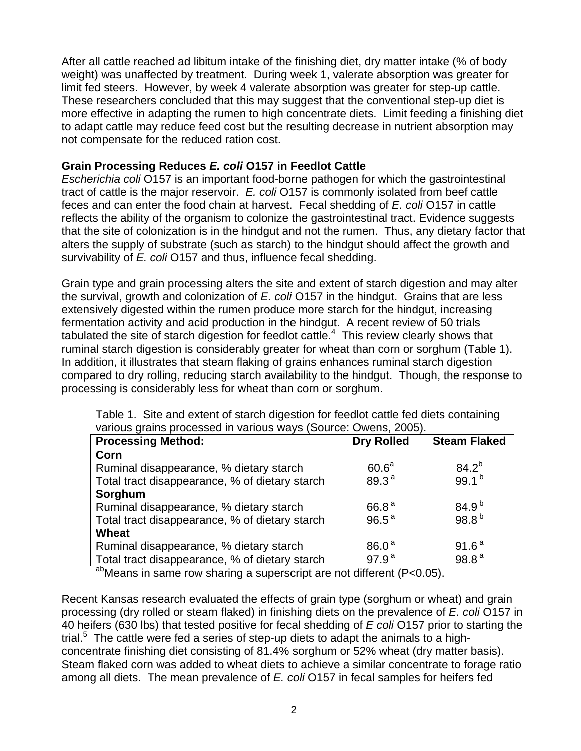After all cattle reached ad libitum intake of the finishing diet, dry matter intake (% of body weight) was unaffected by treatment. During week 1, valerate absorption was greater for limit fed steers. However, by week 4 valerate absorption was greater for step-up cattle. These researchers concluded that this may suggest that the conventional step-up diet is more effective in adapting the rumen to high concentrate diets. Limit feeding a finishing diet to adapt cattle may reduce feed cost but the resulting decrease in nutrient absorption may not compensate for the reduced ration cost.

## **Grain Processing Reduces E. coli O157 in Feedlot Cattle**

Escherichia coli O157 is an important food-borne pathogen for which the gastrointestinal tract of cattle is the major reservoir. E. coli O157 is commonly isolated from beef cattle feces and can enter the food chain at harvest. Fecal shedding of E. coli O157 in cattle reflects the ability of the organism to colonize the gastrointestinal tract. Evidence suggests that the site of colonization is in the hindgut and not the rumen. Thus, any dietary factor that alters the supply of substrate (such as starch) to the hindgut should affect the growth and survivability of E. coli O157 and thus, influence fecal shedding.

Grain type and grain processing alters the site and extent of starch digestion and may alter the survival, growth and colonization of  $E$ . coli O157 in the hindgut. Grains that are less extensively digested within the rumen produce more starch for the hindgut, increasing fermentation activity and acid production in the hindgut. A recent review of 50 trials tabulated the site of starch digestion for feedlot cattle. $4$  This review clearly shows that ruminal starch digestion is considerably greater for wheat than corn or sorghum (Table 1). In addition, it illustrates that steam flaking of grains enhances ruminal starch digestion compared to dry rolling, reducing starch availability to the hindgut. Though, the response to processing is considerably less for wheat than corn or sorghum.

| , anouo granio processou in vancuo navo (ocurso. O nono, 2000). |                   |                     |
|-----------------------------------------------------------------|-------------------|---------------------|
| <b>Processing Method:</b>                                       | <b>Dry Rolled</b> | <b>Steam Flaked</b> |
| Corn                                                            |                   |                     |
| Ruminal disappearance, % dietary starch                         | 60.6 <sup>a</sup> | $84.2^{b}$          |
| Total tract disappearance, % of dietary starch                  | 89.3 <sup>a</sup> | 99.1 $b$            |
| Sorghum                                                         |                   |                     |
| Ruminal disappearance, % dietary starch                         | 66.8 <sup>a</sup> | $84.9^{b}$          |
| Total tract disappearance, % of dietary starch                  | $96.5^{\text{a}}$ | 98.8 <sup>b</sup>   |
| Wheat                                                           |                   |                     |
| Ruminal disappearance, % dietary starch                         | 86.0 <sup>a</sup> | 91.6 <sup>a</sup>   |
| Total tract disappearance, % of dietary starch                  | 97.9 <sup>a</sup> | 98.8 <sup>a</sup>   |
| ob b                                                            |                   |                     |

Table 1. Site and extent of starch digestion for feedlot cattle fed diets containing various grains processed in various ways (Source: Owens, 2005).

<sup>ab</sup>Means in same row sharing a superscript are not different (P<0.05).

Recent Kansas research evaluated the effects of grain type (sorghum or wheat) and grain processing (dry rolled or steam flaked) in finishing diets on the prevalence of E. coli O157 in 40 heifers (630 lbs) that tested positive for fecal shedding of E coli O157 prior to starting the trial.<sup>5</sup> The cattle were fed a series of step-up diets to adapt the animals to a highconcentrate finishing diet consisting of 81.4% sorghum or 52% wheat (dry matter basis). Steam flaked corn was added to wheat diets to achieve a similar concentrate to forage ratio among all diets. The mean prevalence of E. coli O157 in fecal samples for heifers fed